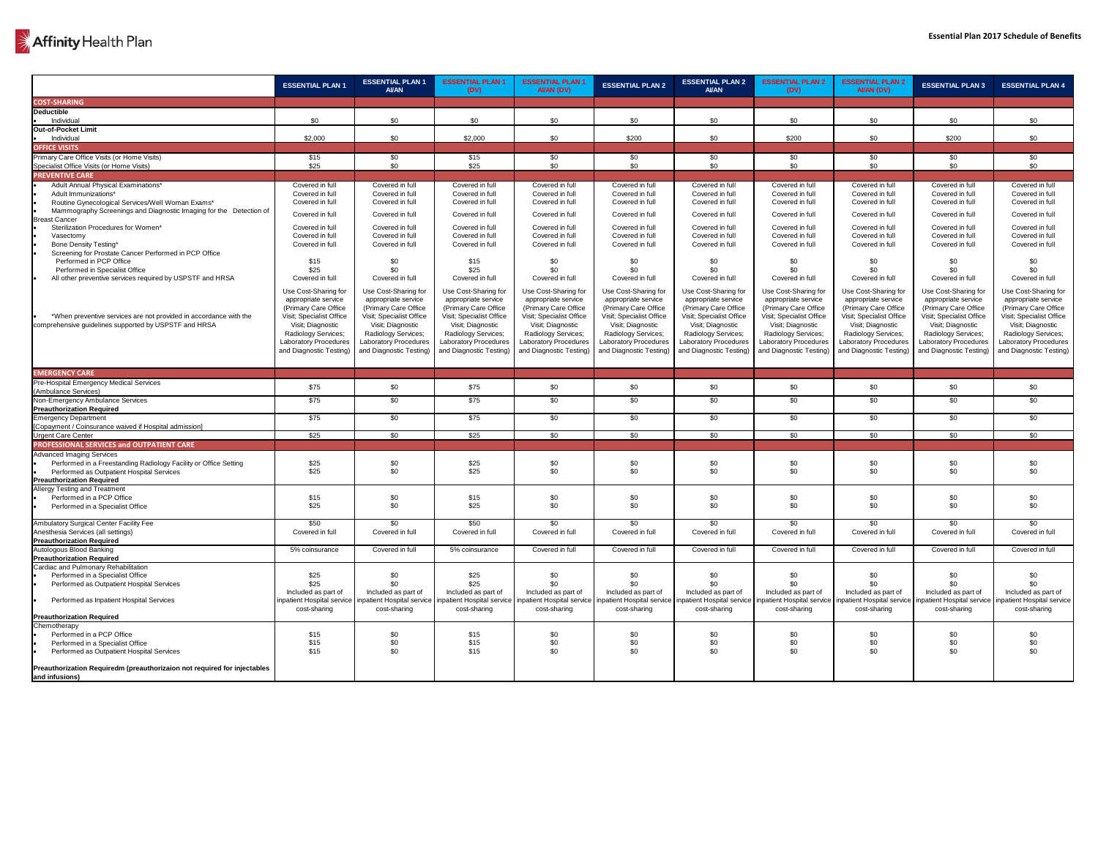## Affinity Health Plan

|                                                                                                                        | <b>ESSENTIAL PLAN 1</b>                     | <b>ESSENTIAL PLAN 1</b><br><b>AI/AN</b>                                              | <b>ESSENTIAL PLAN 1</b><br>(DV)             | <b>ESSENTIAL PLAN 1</b><br>AI/AN (DV)       | <b>ESSENTIAL PLAN 2</b>                     | <b>ESSENTIAL PLAN 2</b><br><b>AI/AN</b>     | <b>ESSENTIAL PLAN 2</b><br>(DV)             | <b>ESSENTIAL PLAN 2</b><br>AI/AN (DV)                   | <b>ESSENTIAL PLAN 3</b>                     | <b>ESSENTIAL PLAN 4</b>                     |
|------------------------------------------------------------------------------------------------------------------------|---------------------------------------------|--------------------------------------------------------------------------------------|---------------------------------------------|---------------------------------------------|---------------------------------------------|---------------------------------------------|---------------------------------------------|---------------------------------------------------------|---------------------------------------------|---------------------------------------------|
| <b>COST-SHARING</b>                                                                                                    |                                             |                                                                                      |                                             |                                             |                                             |                                             |                                             |                                                         |                                             |                                             |
| <b>Deductible</b>                                                                                                      |                                             |                                                                                      |                                             |                                             |                                             |                                             |                                             |                                                         |                                             |                                             |
| Individua                                                                                                              | \$0                                         | \$0                                                                                  | \$0                                         | \$0                                         | \$0                                         | \$0                                         | \$0                                         | \$0                                                     | \$0                                         | \$0                                         |
| Out-of-Pocket Limit                                                                                                    |                                             |                                                                                      |                                             |                                             |                                             |                                             |                                             |                                                         |                                             |                                             |
| Individual                                                                                                             | \$2,000                                     | \$0                                                                                  | \$2,000                                     | \$0                                         | \$200                                       | \$0                                         | \$200                                       | \$0                                                     | \$200                                       | \$0                                         |
| <b>OFFICE VISITS</b>                                                                                                   |                                             |                                                                                      |                                             |                                             |                                             |                                             |                                             |                                                         |                                             |                                             |
| Primary Care Office Visits (or Home Visits)                                                                            | \$15                                        | \$0                                                                                  | \$15                                        | \$0                                         | \$0                                         | \$0                                         | \$0                                         | \$0                                                     | \$0                                         | \$0                                         |
| Specialist Office Visits (or Home Visits)                                                                              | \$25                                        | \$0                                                                                  | \$25                                        | \$0                                         | \$0                                         | \$0                                         | \$0                                         | \$0                                                     | \$0                                         | \$0                                         |
| <b>PREVENTIVE CARE</b>                                                                                                 |                                             |                                                                                      |                                             |                                             |                                             |                                             |                                             |                                                         |                                             |                                             |
| Adult Annual Physical Examinations*                                                                                    | Covered in full                             | Covered in full                                                                      | Covered in full                             | Covered in full                             | Covered in full                             | Covered in full                             | Covered in full                             | Covered in full                                         | Covered in full                             | Covered in full                             |
| Adult Immunizations*                                                                                                   | Covered in full                             | Covered in full                                                                      | Covered in full                             | Covered in full                             | Covered in full                             | Covered in full                             | Covered in full                             | Covered in full                                         | Covered in full                             | Covered in full                             |
| Routine Gynecological Services/Well Woman Exams*<br>Mammography Screenings and Diagnostic Imaging for the Detection of | Covered in full                             | Covered in full                                                                      | Covered in full                             | Covered in full                             | Covered in full                             | Covered in full                             | Covered in full                             | Covered in full                                         | Covered in full                             | Covered in full                             |
| <b>Breast Cancer</b>                                                                                                   | Covered in full                             | Covered in full                                                                      | Covered in full                             | Covered in full                             | Covered in full                             | Covered in full                             | Covered in full                             | Covered in full                                         | Covered in full                             | Covered in full                             |
| Sterilization Procedures for Women*                                                                                    | Covered in full                             | Covered in full                                                                      | Covered in full                             | Covered in full                             | Covered in full                             | Covered in full                             | Covered in full                             | Covered in full                                         | Covered in full                             | Covered in full                             |
| Vasectomy                                                                                                              | Covered in full                             | Covered in full                                                                      | Covered in full                             | Covered in full                             | Covered in full                             | Covered in full                             | Covered in full                             | Covered in full                                         | Covered in full                             | Covered in full                             |
| <b>Bone Density Testing*</b>                                                                                           | Covered in full                             | Covered in full                                                                      | Covered in full                             | Covered in full                             | Covered in full                             | Covered in full                             | Covered in full                             | Covered in full                                         | Covered in full                             | Covered in full                             |
| Screening for Prostate Cancer Performed in PCP Office<br>Performed in PCP Office                                       |                                             |                                                                                      |                                             |                                             |                                             |                                             |                                             |                                                         |                                             |                                             |
| Performed in Specialist Office                                                                                         | \$15<br>\$25                                | \$С                                                                                  | \$15<br>\$25                                | \$0<br>\$0                                  | \$0<br>\$0                                  | \$0<br>\$0                                  | \$0                                         | \$0<br>\$0                                              | \$0<br>\$0                                  | \$0<br>\$0                                  |
| All other preventive services required by USPSTF and HRSA                                                              | Covered in full                             | Covered in full                                                                      | Covered in full                             | Covered in full                             | Covered in full                             | Covered in full                             | Covered in full                             | Covered in full                                         | Covered in full                             | Covered in full                             |
|                                                                                                                        |                                             |                                                                                      |                                             |                                             |                                             |                                             |                                             |                                                         |                                             |                                             |
|                                                                                                                        | Use Cost-Sharing for<br>appropriate service | Use Cost-Sharing for<br>appropriate service                                          | Use Cost-Sharing for<br>appropriate service | Use Cost-Sharing for<br>appropriate service | Use Cost-Sharing for<br>appropriate service | Use Cost-Sharing for<br>appropriate service | Use Cost-Sharing for<br>appropriate service | Use Cost-Sharing for<br>appropriate service             | Use Cost-Sharing for<br>appropriate service | Use Cost-Sharing for<br>appropriate service |
|                                                                                                                        | (Primary Care Office                        | (Primary Care Office                                                                 | (Primary Care Office                        | (Primary Care Office)                       | (Primary Care Office                        | (Primary Care Office                        | (Primary Care Office                        | (Primary Care Office                                    | (Primary Care Office)                       | (Primary Care Office                        |
| *When preventive services are not provided in accordance with the                                                      | Visit; Specialist Office                    | Visit; Specialist Office                                                             | <b>Visit; Specialist Office</b>             | Visit; Specialist Office                    | Visit; Specialist Office                    | Visit; Specialist Office                    | Visit; Specialist Office                    | Visit; Specialist Office                                | Visit; Specialist Office                    | Visit; Specialist Office                    |
| comprehensive guidelines supported by USPSTF and HRSA                                                                  | Visit; Diagnostic                           | Visit; Diagnostic                                                                    | Visit; Diagnostic                           | Visit; Diagnostic                           | Visit; Diagnostic                           | Visit; Diagnostic                           | Visit; Diagnostic                           | Visit; Diagnostic                                       | Visit; Diagnostic                           | Visit; Diagnostic                           |
|                                                                                                                        | <b>Radiology Services;</b>                  | <b>Radiology Services;</b>                                                           | <b>Radiology Services;</b>                  | <b>Radiology Services;</b>                  | Radiology Services;                         | <b>Radiology Services;</b>                  | <b>Radiology Services;</b>                  | <b>Radiology Services;</b>                              | Radiology Services;                         | Radiology Services;                         |
|                                                                                                                        | <b>Laboratory Procedures</b>                | <b>Laboratory Procedures</b>                                                         | <b>Laboratory Procedures</b>                | <b>Laboratory Procedures</b>                | <b>Laboratory Procedures</b>                | <b>Laboratory Procedures</b>                | <b>Laboratory Procedures</b>                | <b>Laboratory Procedures</b>                            | <b>Laboratory Procedures</b>                | <b>Laboratory Procedures</b>                |
|                                                                                                                        | and Diagnostic Testing)                     | and Diagnostic Testing)                                                              | and Diagnostic Testing)                     | and Diagnostic Testing)                     | and Diagnostic Testing)                     | and Diagnostic Testing)                     | and Diagnostic Testing)                     | and Diagnostic Testing)                                 | and Diagnostic Testing)                     | and Diagnostic Testing)                     |
|                                                                                                                        |                                             |                                                                                      |                                             |                                             |                                             |                                             |                                             |                                                         |                                             |                                             |
| <b>EMERGENCY CARE</b>                                                                                                  |                                             |                                                                                      |                                             |                                             |                                             |                                             |                                             |                                                         |                                             |                                             |
| <b>Pre-Hospital Emergency Medical Services</b>                                                                         | \$75                                        | \$0                                                                                  | \$75                                        | \$0                                         | \$0                                         | \$0                                         | \$0                                         | \$0                                                     | \$0                                         | \$0                                         |
| (Ambulance Services)                                                                                                   |                                             |                                                                                      |                                             |                                             |                                             |                                             |                                             |                                                         |                                             |                                             |
| Non-Emergency Ambulance Services                                                                                       | \$75                                        | \$0                                                                                  | $\sqrt{$75}$                                | \$0                                         | \$0                                         | \$0                                         | \$0                                         | \$0                                                     | \$0                                         | \$0                                         |
| <b>Preauthorization Required</b><br><b>Emergency Department</b>                                                        | $\sqrt{$75}$                                | \$0                                                                                  | $\sqrt{$75}$                                | \$0                                         | \$0                                         | \$0                                         | \$0                                         | \$0                                                     | \$0                                         | \$0                                         |
| [Copayment / Coinsurance waived if Hospital admission]                                                                 |                                             |                                                                                      |                                             |                                             |                                             |                                             |                                             |                                                         |                                             |                                             |
| Urgent Care Center                                                                                                     | \$25                                        | \$0                                                                                  | \$25                                        | \$0                                         | \$0                                         | \$0                                         | \$0                                         | \$0                                                     | \$0                                         | \$0                                         |
| PROFESSIONAL SERVICES and OUTPATIENT CARE                                                                              |                                             |                                                                                      |                                             |                                             |                                             |                                             |                                             |                                                         |                                             |                                             |
| <b>Advanced Imaging Services</b>                                                                                       |                                             |                                                                                      |                                             |                                             |                                             |                                             |                                             |                                                         |                                             |                                             |
| Performed in a Freestanding Radiology Facility or Office Setting                                                       | \$25                                        | \$0                                                                                  | \$25                                        | \$0                                         | \$0                                         | \$0                                         | \$0                                         | \$0                                                     | \$0                                         | \$0                                         |
| Performed as Outpatient Hospital Services                                                                              | \$25                                        | \$0                                                                                  | \$25                                        | \$0                                         | \$0                                         | \$0                                         | \$0                                         | \$0                                                     | \$0                                         | \$0                                         |
| <b>Preauthorization Required</b>                                                                                       |                                             |                                                                                      |                                             |                                             |                                             |                                             |                                             |                                                         |                                             |                                             |
| <b>Allergy Testing and Treatment</b>                                                                                   |                                             |                                                                                      |                                             |                                             |                                             |                                             |                                             |                                                         |                                             |                                             |
| Performed in a PCP Office                                                                                              | \$15                                        | \$0<br>\$0                                                                           | \$15<br>\$25                                | \$0<br>\$0                                  | \$0<br>\$0                                  | \$0<br>\$0                                  | \$0<br>\$0                                  | \$0<br>\$0                                              | \$0<br>\$0                                  | \$0<br>\$0                                  |
| Performed in a Specialist Office                                                                                       | \$25                                        |                                                                                      |                                             |                                             |                                             |                                             |                                             |                                                         |                                             |                                             |
| Ambulatory Surgical Center Facility Fee                                                                                | \$50                                        | \$0                                                                                  | \$50                                        | \$0                                         | \$0                                         | \$0                                         | \$0                                         | \$0                                                     | \$0                                         | \$0                                         |
| Anesthesia Services (all settings)                                                                                     | Covered in full                             | Covered in full                                                                      | Covered in full                             | Covered in full                             | Covered in full                             | Covered in full                             | Covered in full                             | Covered in full                                         | Covered in full                             | Covered in full                             |
| <b>Preauthorization Required</b>                                                                                       |                                             |                                                                                      |                                             |                                             |                                             |                                             |                                             |                                                         |                                             |                                             |
| Autologous Blood Banking                                                                                               | 5% coinsurance                              | Covered in full                                                                      | 5% coinsurance                              | Covered in full                             | Covered in full                             | Covered in full                             | Covered in full                             | Covered in full                                         | Covered in full                             | Covered in full                             |
| <b>Preauthorization Required</b>                                                                                       |                                             |                                                                                      |                                             |                                             |                                             |                                             |                                             |                                                         |                                             |                                             |
| Cardiac and Pulmonary Rehabilitation                                                                                   |                                             |                                                                                      |                                             |                                             |                                             |                                             |                                             |                                                         |                                             |                                             |
| Performed in a Specialist Office<br>Performed as Outpatient Hospital Services                                          | \$25<br>\$25                                | \$0<br>\$0                                                                           | \$25<br>\$25                                | \$0<br>\$0                                  | \$0<br>\$0                                  | \$0<br>\$0                                  | \$0<br>\$0                                  | \$0<br>\$0                                              | \$0<br>\$0                                  | \$0<br>\$0                                  |
|                                                                                                                        | Included as part of                         | Included as part of                                                                  | Included as part of                         | Included as part of                         | Included as part of                         | Included as part of                         | Included as part of                         | Included as part of                                     | Included as part of                         | Included as part of                         |
| Performed as Inpatient Hospital Services                                                                               |                                             | inpatient Hospital service   inpatient Hospital service   inpatient Hospital service |                                             | inpatient Hospital service                  | inpatient Hospital service                  | inpatient Hospital service                  |                                             | inpatient Hospital service   inpatient Hospital service | npatient Hospital service                   | inpatient Hospital service                  |
|                                                                                                                        | cost-sharing                                | cost-sharing                                                                         | cost-sharing                                | cost-sharing                                | cost-sharing                                | cost-sharing                                | cost-sharing                                | cost-sharing                                            | cost-sharing                                | cost-sharing                                |
| <b>Preauthorization Required</b>                                                                                       |                                             |                                                                                      |                                             |                                             |                                             |                                             |                                             |                                                         |                                             |                                             |
| Chemotherapy                                                                                                           |                                             |                                                                                      |                                             |                                             |                                             |                                             |                                             |                                                         |                                             |                                             |
| Performed in a PCP Office                                                                                              | \$15                                        | \$0<br>\$0                                                                           | \$15                                        | \$0                                         | \$0                                         | \$0                                         | \$0                                         | \$0                                                     | \$0                                         | \$0                                         |
| Performed in a Specialist Office<br>Performed as Outpatient Hospital Services                                          | \$15<br>\$15                                | \$0                                                                                  | \$15<br>\$15                                | \$0<br>\$0                                  | \$0<br>\$0                                  | \$0<br>\$0                                  | \$0<br>\$0                                  | \$0<br>\$0                                              | \$0<br>\$0                                  | \$0<br>\$0                                  |
|                                                                                                                        |                                             |                                                                                      |                                             |                                             |                                             |                                             |                                             |                                                         |                                             |                                             |
| Preauthorization Requiredm (preauthorizaion not required for injectables<br>and infusions)                             |                                             |                                                                                      |                                             |                                             |                                             |                                             |                                             |                                                         |                                             |                                             |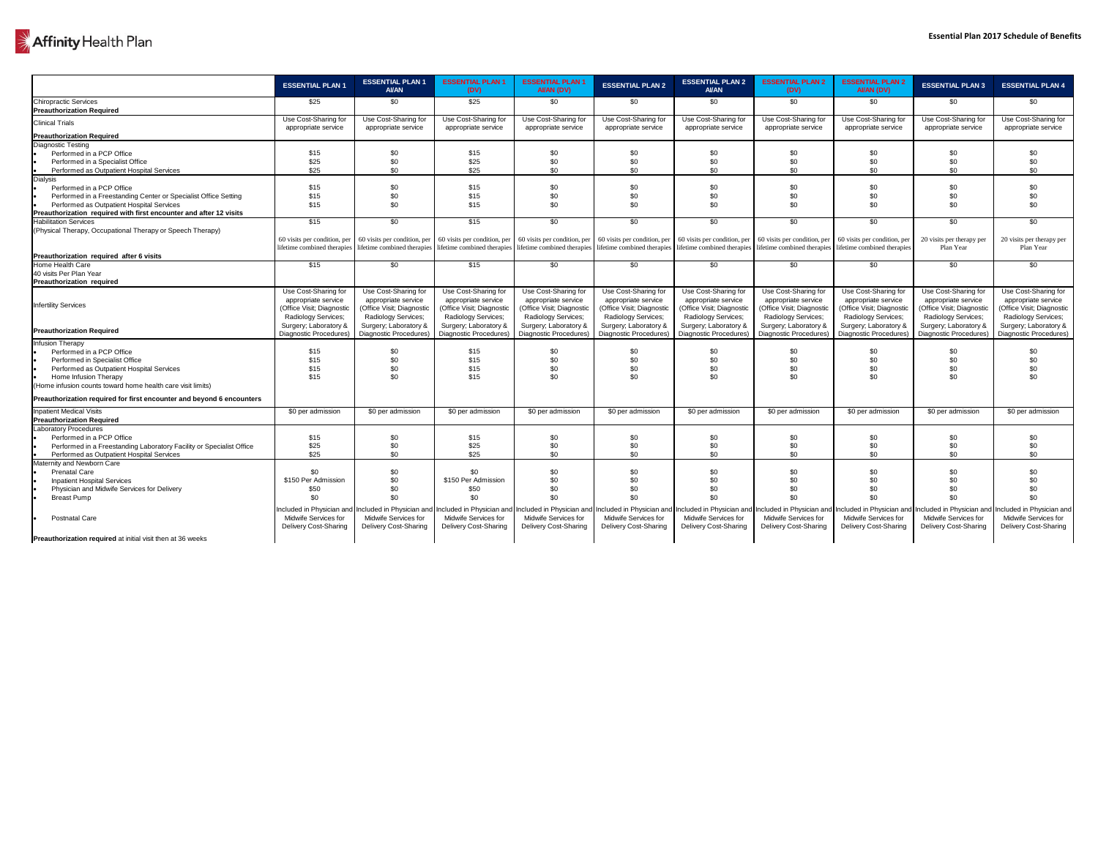## Affinity Health Plan

|                                                                       | <b>ESSENTIAL PLAN 1</b>                     | <b>ESSENTIAL PLAN 1</b><br><b>AI/AN</b>     | <b>ESSENTIAL PLAN 1</b><br>(DV)             | <b>ESSENTIAL PLAN 1</b><br>AI/AN (DV)       | <b>ESSENTIAL PLAN 2</b>                     | <b>ESSENTIAL PLAN 2</b><br><b>AI/AN</b>                                                                                                                                                                                        | <b>ESSENTIAL PLAN 2</b><br>(DV)             | <b>ESSENTIAL PLAN 2</b><br>AI/AN (DV)       | <b>ESSENTIAL PLAN 3</b>                     | <b>ESSENTIAL PLAN 4</b>                             |
|-----------------------------------------------------------------------|---------------------------------------------|---------------------------------------------|---------------------------------------------|---------------------------------------------|---------------------------------------------|--------------------------------------------------------------------------------------------------------------------------------------------------------------------------------------------------------------------------------|---------------------------------------------|---------------------------------------------|---------------------------------------------|-----------------------------------------------------|
| <b>Chiropractic Services</b><br><b>Preauthorization Required</b>      | \$25                                        | \$0                                         | \$25                                        | \$0                                         | \$0                                         | \$0                                                                                                                                                                                                                            | \$0                                         | \$0                                         | \$0                                         | \$0                                                 |
| <b>Clinical Trials</b>                                                | Use Cost-Sharing for<br>appropriate service | Use Cost-Sharing for<br>appropriate service | Use Cost-Sharing for<br>appropriate service | Use Cost-Sharing for<br>appropriate service | Use Cost-Sharing for<br>appropriate service | Use Cost-Sharing for<br>appropriate service                                                                                                                                                                                    | Use Cost-Sharing for<br>appropriate service | Use Cost-Sharing for<br>appropriate service | Use Cost-Sharing for<br>appropriate service | Use Cost-Sharing for<br>appropriate service         |
| <b>Preauthorization Required</b>                                      |                                             |                                             |                                             |                                             |                                             |                                                                                                                                                                                                                                |                                             |                                             |                                             |                                                     |
| <b>Diagnostic Testing</b>                                             |                                             |                                             |                                             |                                             |                                             |                                                                                                                                                                                                                                |                                             |                                             |                                             |                                                     |
| Performed in a PCP Office                                             | \$15                                        | \$0                                         | \$15                                        | \$0                                         | \$0                                         | \$0                                                                                                                                                                                                                            | \$0                                         | \$0                                         | \$0                                         | \$0                                                 |
| Performed in a Specialist Office                                      | \$25                                        | \$0                                         | \$25                                        | \$0                                         | \$0                                         |                                                                                                                                                                                                                                | \$0                                         | \$0                                         | \$0                                         | \$0                                                 |
| Performed as Outpatient Hospital Services                             | \$25                                        | \$0                                         | \$25                                        | \$0                                         | \$0                                         | \$0                                                                                                                                                                                                                            | \$0                                         | \$0                                         | \$0                                         | \$0                                                 |
| <b>Dialysis</b>                                                       |                                             |                                             |                                             |                                             |                                             |                                                                                                                                                                                                                                |                                             |                                             |                                             |                                                     |
| Performed in a PCP Office                                             | \$15                                        | \$0                                         | \$15                                        | \$0                                         | \$0                                         | \$0                                                                                                                                                                                                                            | \$0                                         | \$0                                         | \$0                                         | \$0                                                 |
| Performed in a Freestanding Center or Specialist Office Setting       | \$15                                        | \$0                                         | \$15                                        | \$0                                         | \$0                                         | \$0                                                                                                                                                                                                                            | \$0                                         | \$0                                         | \$0                                         | \$0                                                 |
| Performed as Outpatient Hospital Services                             | \$15                                        | \$0                                         | \$15                                        | \$0                                         | \$0                                         | \$0                                                                                                                                                                                                                            | \$0                                         | \$0                                         | \$0                                         | \$0                                                 |
| Preauthorization required with first encounter and after 12 visits    |                                             |                                             |                                             |                                             |                                             |                                                                                                                                                                                                                                |                                             |                                             |                                             |                                                     |
| <b>Habilitation Services</b>                                          | \$15                                        | \$0                                         | \$15                                        | \$0                                         | \$0                                         | \$0                                                                                                                                                                                                                            | \$0                                         | \$0                                         | \$0                                         | \$0                                                 |
| (Physical Therapy, Occupational Therapy or Speech Therapy)            |                                             |                                             |                                             |                                             |                                             |                                                                                                                                                                                                                                |                                             |                                             |                                             |                                                     |
|                                                                       |                                             |                                             |                                             |                                             |                                             | 60 visits per condition, per  60 visits per condition, per  60 visits per condition, per  60 visits per condition, per  60 visits per condition, per  60 visits per condition, per  60 visits per condition, per  60 visits pe |                                             |                                             | 20 visits per therapy per                   | 20 visits per therapy per                           |
|                                                                       |                                             |                                             |                                             |                                             |                                             | lifetime combined therapies lifetime combined therapies lifetime combined therapies lifetime combined therapies lifetime combined therapies lifetime combined therapies lifetime combined therapies lifetime combined therapie |                                             |                                             | Plan Year                                   | Plan Year                                           |
| Preauthorization required after 6 visits                              |                                             |                                             |                                             |                                             |                                             |                                                                                                                                                                                                                                |                                             |                                             |                                             |                                                     |
| Home Health Care                                                      | \$15                                        | \$0                                         | \$15                                        | \$0                                         | \$0                                         | \$0                                                                                                                                                                                                                            | \$0                                         | \$0                                         | \$0                                         | \$0                                                 |
| 40 visits Per Plan Year                                               |                                             |                                             |                                             |                                             |                                             |                                                                                                                                                                                                                                |                                             |                                             |                                             |                                                     |
| <b>Preauthorization required</b>                                      |                                             |                                             |                                             |                                             |                                             |                                                                                                                                                                                                                                |                                             |                                             |                                             |                                                     |
|                                                                       | Use Cost-Sharing for                        | Use Cost-Sharing for                        | Use Cost-Sharing for                        | Use Cost-Sharing for                        | Use Cost-Sharing for                        | Use Cost-Sharing for                                                                                                                                                                                                           | Use Cost-Sharing for                        | Use Cost-Sharing for                        | Use Cost-Sharing for                        | Use Cost-Sharing for                                |
|                                                                       | appropriate service                         | appropriate service                         | appropriate service                         | appropriate service                         | appropriate service                         | appropriate service                                                                                                                                                                                                            | appropriate service                         | appropriate service                         | appropriate service                         | appropriate service                                 |
| <b>Infertility Services</b>                                           | (Office Visit; Diagnostic                   | (Office Visit; Diagnostic                   | (Office Visit; Diagnostic                   | (Office Visit; Diagnostic                   | (Office Visit; Diagnostic                   | (Office Visit; Diagnostic                                                                                                                                                                                                      | (Office Visit; Diagnostic                   | (Office Visit; Diagnostic                   | (Office Visit; Diagnostic                   | (Office Visit; Diagnostic                           |
|                                                                       | <b>Radiology Services;</b>                  | <b>Radiology Services;</b>                  | <b>Radiology Services;</b>                  | <b>Radiology Services;</b>                  | <b>Radiology Services;</b>                  | <b>Radiology Services;</b>                                                                                                                                                                                                     | <b>Radiology Services;</b>                  | <b>Radiology Services;</b>                  | Radiology Services;                         | Radiology Services;                                 |
|                                                                       | Surgery; Laboratory &                       | Surgery; Laboratory &                       | Surgery; Laboratory &                       | Surgery; Laboratory &                       | Surgery; Laboratory &                       | Surgery; Laboratory &                                                                                                                                                                                                          | Surgery; Laboratory &                       | Surgery; Laboratory &                       | Surgery; Laboratory &                       | Surgery; Laboratory &                               |
| <b>Preauthorization Required</b>                                      |                                             |                                             |                                             |                                             |                                             | Diagnostic Procedures)   Diagnostic Procedures)   Diagnostic Procedures)   Diagnostic Procedures)   Diagnostic Procedures)   Diagnostic Procedures)   Diagnostic Procedures)   Diagnostic Procedures   Diagnostic Procedures   |                                             |                                             |                                             |                                                     |
| Infusion Therapy                                                      |                                             |                                             |                                             |                                             |                                             |                                                                                                                                                                                                                                |                                             |                                             |                                             |                                                     |
| Performed in a PCP Office                                             | \$15                                        | \$0                                         | \$15                                        | \$0                                         | \$0                                         | \$0                                                                                                                                                                                                                            | \$0                                         | \$0                                         | \$0                                         | \$0                                                 |
| <b>Performed in Specialist Office</b>                                 | \$15                                        |                                             | \$15                                        |                                             |                                             |                                                                                                                                                                                                                                |                                             |                                             | \$0                                         | \$0                                                 |
| Performed as Outpatient Hospital Services                             | \$15                                        | \$0                                         | \$15                                        |                                             |                                             |                                                                                                                                                                                                                                | \$C                                         | \$0                                         | \$0                                         | \$0                                                 |
| Home Infusion Therapy                                                 | \$15                                        | \$0                                         | \$15                                        | \$0                                         | \$0                                         |                                                                                                                                                                                                                                | \$0                                         | \$0                                         | \$0                                         | \$0                                                 |
| (Home infusion counts toward home health care visit limits)           |                                             |                                             |                                             |                                             |                                             |                                                                                                                                                                                                                                |                                             |                                             |                                             |                                                     |
|                                                                       |                                             |                                             |                                             |                                             |                                             |                                                                                                                                                                                                                                |                                             |                                             |                                             |                                                     |
| Preauthorization required for first encounter and beyond 6 encounters |                                             |                                             |                                             |                                             |                                             |                                                                                                                                                                                                                                |                                             |                                             |                                             |                                                     |
| <b>Inpatient Medical Visits</b>                                       | \$0 per admission                           | \$0 per admission                           | \$0 per admission                           | \$0 per admission                           | \$0 per admission                           | \$0 per admission                                                                                                                                                                                                              | \$0 per admission                           | \$0 per admission                           | \$0 per admission                           | \$0 per admission                                   |
| <b>Preauthorization Required</b>                                      |                                             |                                             |                                             |                                             |                                             |                                                                                                                                                                                                                                |                                             |                                             |                                             |                                                     |
| <b>Laboratory Procedures</b>                                          |                                             |                                             |                                             |                                             |                                             |                                                                                                                                                                                                                                |                                             |                                             |                                             |                                                     |
| Performed in a PCP Office                                             | \$15                                        | \$0                                         | \$15                                        | \$0                                         | \$0                                         | \$0                                                                                                                                                                                                                            | \$0                                         | \$0                                         | \$0                                         | \$0                                                 |
| Performed in a Freestanding Laboratory Facility or Specialist Office  | \$25                                        | \$0                                         | \$25                                        | \$0                                         |                                             |                                                                                                                                                                                                                                | \$C                                         | \$0                                         | \$0                                         | \$0                                                 |
| Performed as Outpatient Hospital Services                             | \$25                                        | \$0                                         | \$25                                        | \$0                                         | \$0                                         | \$0                                                                                                                                                                                                                            | \$0                                         | \$0                                         | \$0                                         | \$0                                                 |
| Maternity and Newborn Care                                            |                                             |                                             |                                             |                                             |                                             |                                                                                                                                                                                                                                |                                             |                                             |                                             |                                                     |
| <b>Prenatal Care</b>                                                  | \$0                                         | \$0                                         | \$0                                         | \$0                                         | \$0                                         | \$0                                                                                                                                                                                                                            | \$0                                         | \$0                                         | \$0                                         |                                                     |
| <b>Inpatient Hospital Services</b>                                    | \$150 Per Admission                         | \$0                                         | \$150 Per Admission                         |                                             |                                             |                                                                                                                                                                                                                                |                                             | \$0                                         | \$0                                         |                                                     |
| Physician and Midwife Services for Delivery                           | \$50                                        |                                             | \$50                                        |                                             |                                             |                                                                                                                                                                                                                                |                                             |                                             |                                             |                                                     |
| <b>Breast Pump</b>                                                    | \$0                                         |                                             | \$0                                         | \$0                                         |                                             |                                                                                                                                                                                                                                | \$0                                         | \$0                                         | \$0                                         | \$0                                                 |
|                                                                       |                                             |                                             |                                             |                                             |                                             | Included in Physician and Included in Physician and Included in Physician and Included in Physician and Included in Physician and Included in Physician and Included in Physician and Included in Physician and Included in Ph |                                             |                                             |                                             | Included in Physician and Included in Physician and |
| <b>Postnatal Care</b>                                                 | <b>Midwife Services for</b>                 | <b>Midwife Services for</b>                 | <b>Midwife Services for</b>                 | <b>Midwife Services for</b>                 | <b>Midwife Services for</b>                 | <b>Midwife Services for</b>                                                                                                                                                                                                    | <b>Midwife Services for</b>                 | <b>Midwife Services for</b>                 | Midwife Services for                        | Midwife Services for                                |
|                                                                       | <b>Delivery Cost-Sharing</b>                | <b>Delivery Cost-Sharing</b>                | <b>Delivery Cost-Sharing</b>                | <b>Delivery Cost-Sharing</b>                | <b>Delivery Cost-Sharing</b>                | <b>Delivery Cost-Sharing</b>                                                                                                                                                                                                   | <b>Delivery Cost-Sharing</b>                | <b>Delivery Cost-Sharing</b>                | <b>Delivery Cost-Sharing</b>                | <b>Delivery Cost-Sharing</b>                        |
| <b>Preauthorization required</b> at initial visit then at 36 weeks    |                                             |                                             |                                             |                                             |                                             |                                                                                                                                                                                                                                |                                             |                                             |                                             |                                                     |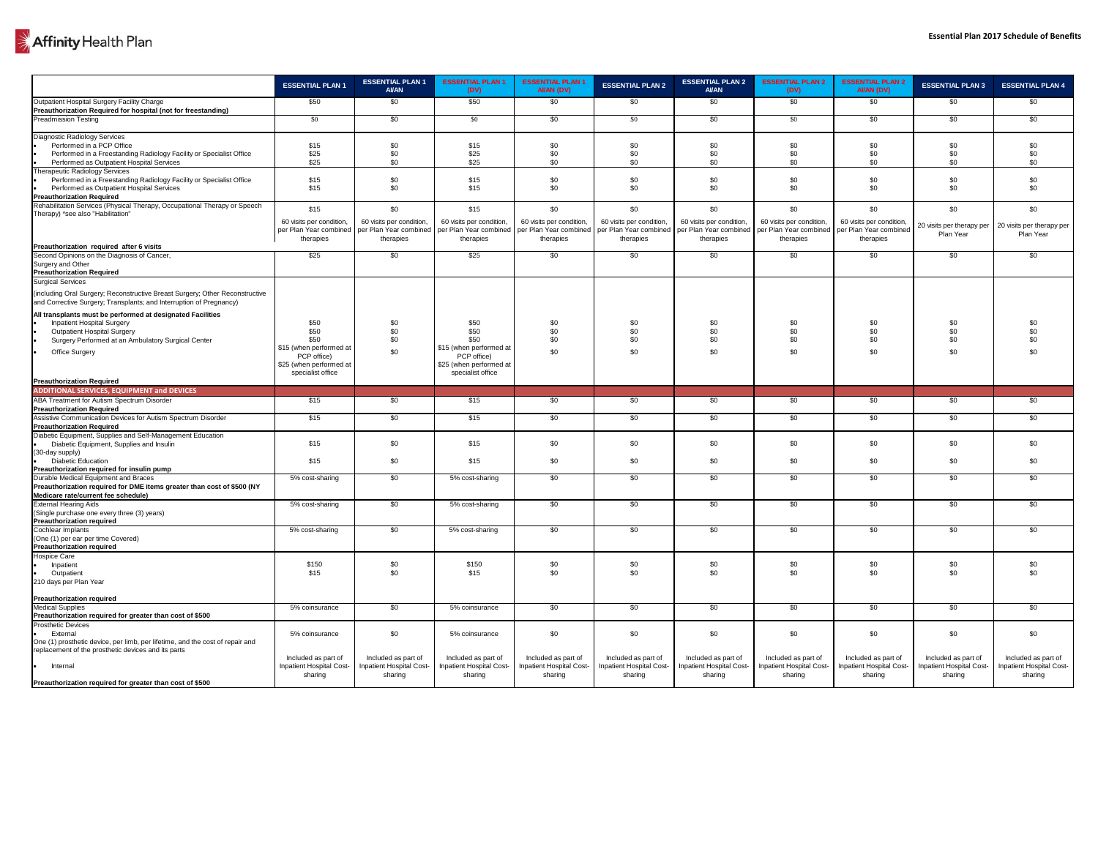

|                                                                                                                                                                                                                      | <b>ESSENTIAL PLAN 1</b>                                                                   | <b>ESSENTIAL PLAN 1</b><br><b>AI/AN</b>         | <b>ESSENTIAL PLAN 1</b><br>(DV)                                                                              | <b>ESSENTIAL PLAN 1</b><br>AI/AN (DV)                     | <b>ESSENTIAL PLAN 2</b>                                   | <b>ESSENTIAL PLAN 2</b><br><b>AI/AN</b>                | <b>ESSENTIAL PLAN 2</b><br>(DV)                                                                             | <b>ESSENTIAL PLAN 2</b><br>AI/AN (DV)           | <b>ESSENTIAL PLAN 3</b>                                | <b>ESSENTIAL PLAN 4</b>                         |
|----------------------------------------------------------------------------------------------------------------------------------------------------------------------------------------------------------------------|-------------------------------------------------------------------------------------------|-------------------------------------------------|--------------------------------------------------------------------------------------------------------------|-----------------------------------------------------------|-----------------------------------------------------------|--------------------------------------------------------|-------------------------------------------------------------------------------------------------------------|-------------------------------------------------|--------------------------------------------------------|-------------------------------------------------|
| Outpatient Hospital Surgery Facility Charge<br><b>Preauthorization Required for hospital (not for freestanding)</b>                                                                                                  | \$50                                                                                      | \$0                                             | \$50                                                                                                         | \$0                                                       | \$0                                                       | \$0                                                    | \$0                                                                                                         | \$0                                             | \$0                                                    | \$0                                             |
| <b>Preadmission Testing</b>                                                                                                                                                                                          | \$0                                                                                       | \$0                                             | \$0                                                                                                          | \$0                                                       | \$0                                                       | \$0                                                    | \$0                                                                                                         | \$0                                             | \$0                                                    | \$0                                             |
| <b>Diagnostic Radiology Services</b><br>Performed in a PCP Office<br>Performed in a Freestanding Radiology Facility or Specialist Office<br>Performed as Outpatient Hospital Services                                | \$15<br>\$25<br>\$25                                                                      | \$0<br>\$0<br>\$0                               | \$15<br>\$25<br>\$25                                                                                         | \$0<br>\$0<br>\$0                                         | \$0<br>\$0<br>\$0                                         | \$0<br>\$0<br>\$0                                      | \$0<br>\$C<br>\$0                                                                                           | \$0<br>\$0<br>\$0                               | \$0<br>\$0<br>\$0                                      | \$0<br>\$0<br>\$0                               |
| <b>Therapeutic Radiology Services</b><br>Performed in a Freestanding Radiology Facility or Specialist Office<br>Performed as Outpatient Hospital Services<br><b>Preauthorization Required</b>                        | \$15<br>\$15                                                                              | \$0<br>\$0                                      | \$15<br>\$15                                                                                                 | \$0<br>\$0                                                | \$0<br>\$0                                                | \$0<br>\$0                                             | \$0<br>\$0                                                                                                  | \$0<br>\$0                                      | \$0<br>\$0                                             | \$0<br>\$0                                      |
| Rehabilitation Services (Physical Therapy, Occupational Therapy or Speech<br>Therapy) *see also "Habilitation"                                                                                                       | \$15<br>60 visits per condition,                                                          | \$0<br>60 visits per condition,                 | \$15<br>60 visits per condition,<br>per Plan Year combined   per Plan Year combined   per Plan Year combined | \$0<br>60 visits per condition,<br>per Plan Year combined | \$0<br>60 visits per condition,<br>per Plan Year combined | \$0<br>60 visits per condition,                        | \$0<br>60 visits per condition,<br>per Plan Year combined   per Plan Year combined   per Plan Year combined | \$0<br>60 visits per condition,                 | \$0<br>20 visits per therapy per                       | \$0<br>20 visits per therapy per                |
| Preauthorization required after 6 visits                                                                                                                                                                             | therapies                                                                                 | therapies                                       | therapies                                                                                                    | therapies                                                 | therapies                                                 | therapies                                              | therapies                                                                                                   | therapies                                       | Plan Year                                              | Plan Year                                       |
| Second Opinions on the Diagnosis of Cancer,<br>Surgery and Other<br><b>Preauthorization Required</b>                                                                                                                 | \$25                                                                                      | \$0                                             | \$25                                                                                                         | \$0                                                       | \$0                                                       | \$0                                                    | \$0                                                                                                         | \$0                                             | \$0                                                    | \$0                                             |
| Surgical Services<br>(including Oral Surgery; Reconstructive Breast Surgery; Other Reconstructive<br>and Corrective Surgery; Transplants; and Interruption of Pregnancy)                                             |                                                                                           |                                                 |                                                                                                              |                                                           |                                                           |                                                        |                                                                                                             |                                                 |                                                        |                                                 |
| All transplants must be performed at designated Facilities<br><b>Inpatient Hospital Surgery</b><br><b>Outpatient Hospital Surgery</b><br>Surgery Performed at an Ambulatory Surgical Center<br><b>Office Surgery</b> | \$50<br>\$50<br>\$50<br>\$15 (when performed at<br>PCP office)<br>\$25 (when performed at | \$0<br>\$0<br>\$0<br>\$0                        | \$50<br>\$50<br>\$50<br>\$15 (when performed at<br>PCP office)<br>\$25 (when performed at                    | \$0<br>\$0<br>\$0<br>\$0                                  | \$0<br>\$0<br>\$0<br>\$0                                  | \$0<br>\$0<br>\$0<br>\$0                               | \$0<br>\$0<br>\$0<br>\$0                                                                                    | \$0<br>\$0<br>\$0<br>\$0                        | \$0<br>\$0<br>\$0<br>\$0                               | \$0<br>\$0<br>\$0<br>\$0                        |
| <b>Preauthorization Required</b>                                                                                                                                                                                     | specialist office                                                                         |                                                 | specialist office                                                                                            |                                                           |                                                           |                                                        |                                                                                                             |                                                 |                                                        |                                                 |
| <b>ADDITIONAL SERVICES, EQUIPMENT and DEVICES</b>                                                                                                                                                                    |                                                                                           |                                                 |                                                                                                              |                                                           |                                                           |                                                        |                                                                                                             |                                                 |                                                        |                                                 |
| <b>ABA Treatment for Autism Spectrum Disorder</b><br><b>Preauthorization Required</b>                                                                                                                                | \$15                                                                                      | \$0                                             | \$15                                                                                                         | \$0                                                       | \$0                                                       | \$0                                                    | \$0                                                                                                         | \$0                                             | \$0                                                    | \$0                                             |
| Assistive Communication Devices for Autism Spectrum Disorder<br><b>Preauthorization Required</b>                                                                                                                     | \$15                                                                                      | \$0                                             | \$15                                                                                                         | \$0                                                       | \$0                                                       | \$0                                                    | \$0                                                                                                         | \$0                                             | \$0                                                    | \$0                                             |
| Diabetic Equipment, Supplies and Self-Management Education<br>Diabetic Equipment, Supplies and Insulin<br>(30-day supply)                                                                                            | \$15                                                                                      | \$0                                             | \$15                                                                                                         | \$0                                                       | \$0                                                       | \$0                                                    | \$0                                                                                                         | \$0                                             | \$0                                                    | \$0                                             |
| <b>Diabetic Education</b><br>Preauthorization required for insulin pump                                                                                                                                              | \$15                                                                                      | \$0                                             | \$15                                                                                                         | \$0                                                       | \$0                                                       | \$0                                                    | \$0                                                                                                         | \$0                                             | \$0                                                    | \$0                                             |
| Durable Medical Equipment and Braces<br>Preauthorization required for DME items greater than cost of \$500 (NY<br>Medicare rate/current fee schedule)                                                                | 5% cost-sharing                                                                           | \$0                                             | 5% cost-sharing                                                                                              | \$0                                                       | \$0                                                       | \$0                                                    | \$0                                                                                                         | \$0                                             | \$0                                                    | \$0                                             |
| <b>External Hearing Aids</b><br>(Single purchase one every three (3) years)<br><b>Preauthorization required</b>                                                                                                      | 5% cost-sharing                                                                           | \$0                                             | 5% cost-sharing                                                                                              | \$0                                                       | \$0                                                       | \$0                                                    | \$0                                                                                                         | \$0                                             | \$0                                                    | \$0                                             |
| <b>Cochlear Implants</b><br>(One (1) per ear per time Covered)<br><b>Preauthorization required</b>                                                                                                                   | 5% cost-sharing                                                                           | \$0                                             | 5% cost-sharing                                                                                              | \$0                                                       | \$0                                                       | \$0                                                    | \$0                                                                                                         | \$0                                             | \$0                                                    | \$0                                             |
| <b>Hospice Care</b><br>Inpatient<br>Outpatient<br>210 days per Plan Year                                                                                                                                             | \$150<br>\$15                                                                             | \$0<br>\$0                                      | \$150<br>\$15                                                                                                | \$0<br>\$0                                                | \$0<br>\$0                                                | \$0<br>\$0                                             | \$0<br>\$0                                                                                                  | \$0<br>\$0                                      | \$0<br>\$0                                             | \$0<br>\$0                                      |
| <b>Preauthorization required</b><br><b>Medical Supplies</b>                                                                                                                                                          |                                                                                           |                                                 |                                                                                                              |                                                           | \$0                                                       |                                                        |                                                                                                             |                                                 |                                                        |                                                 |
| Preauthorization required for greater than cost of \$500                                                                                                                                                             | 5% coinsurance                                                                            | \$0                                             | 5% coinsurance                                                                                               | \$0                                                       |                                                           | \$0                                                    | \$0                                                                                                         | \$0                                             | \$0                                                    | \$0                                             |
| <b>Prosthetic Devices</b><br>External<br>One (1) prosthetic device, per limb, per lifetime, and the cost of repair and                                                                                               | 5% coinsurance                                                                            | \$0                                             | 5% coinsurance                                                                                               | \$0                                                       | \$0                                                       | \$0                                                    | \$0                                                                                                         | \$0                                             | \$0                                                    | \$0                                             |
| replacement of the prosthetic devices and its parts<br>Internal                                                                                                                                                      | Included as part of<br><b>Inpatient Hospital Cost-</b>                                    | Included as part of<br>Inpatient Hospital Cost- | Included as part of<br><b>Inpatient Hospital Cost-</b>                                                       | Included as part of<br>Inpatient Hospital Cost-           | Included as part of<br>Inpatient Hospital Cost-           | Included as part of<br><b>Inpatient Hospital Cost-</b> | Included as part of<br>Inpatient Hospital Cost-                                                             | Included as part of<br>Inpatient Hospital Cost- | Included as part of<br><b>Inpatient Hospital Cost-</b> | Included as part of<br>Inpatient Hospital Cost- |
| Preauthorization required for greater than cost of \$500                                                                                                                                                             | sharing                                                                                   | sharing                                         | sharing                                                                                                      | sharing                                                   | sharing                                                   | sharing                                                | sharing                                                                                                     | sharing                                         | sharing                                                | sharing                                         |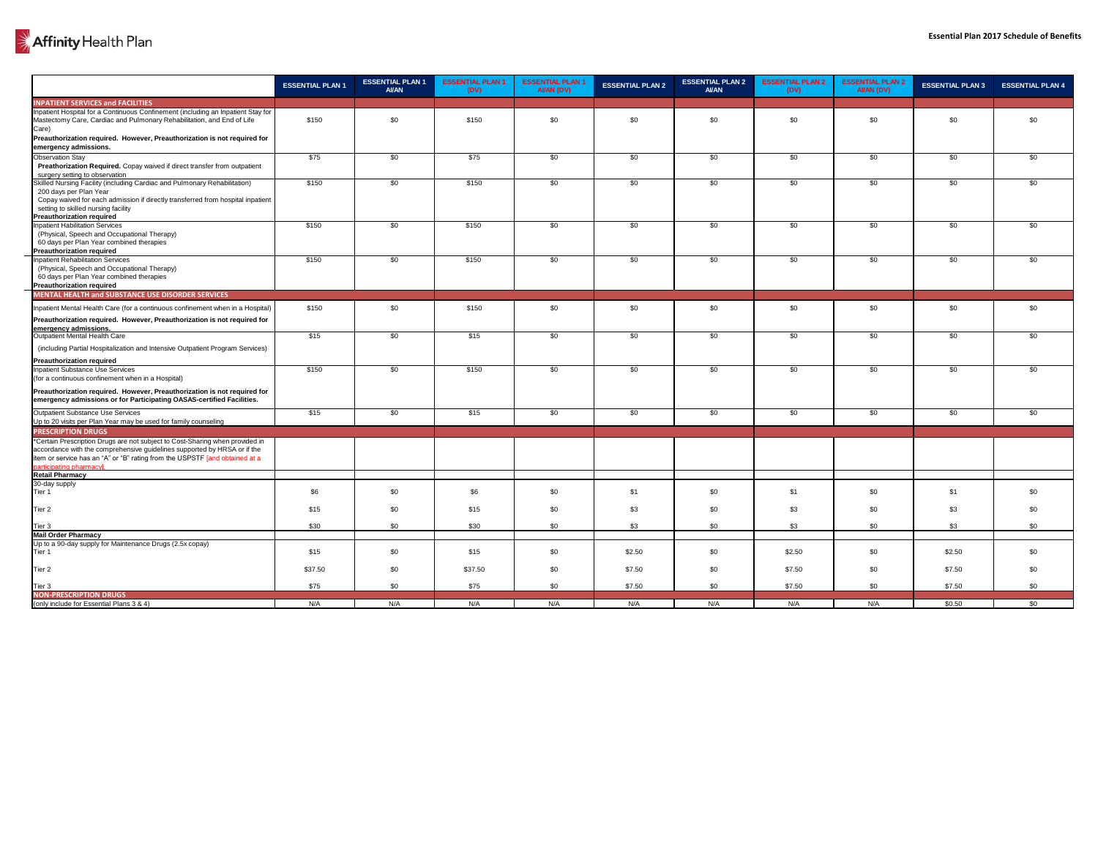|                                                                                                                                                                                                                                                                     | <b>ESSENTIAL PLAN 1</b> | <b>ESSENTIAL PLAN 1</b><br><b>AI/AN</b> | <b>ESSENTIAL PLAN 1</b><br>(DV) | <b>ESSENTIAL PLAN 1</b><br>AI/AN (DV) | <b>ESSENTIAL PLAN 2</b> | <b>ESSENTIAL PLAN 2</b><br><b>AI/AN</b> | <b>ESSENTIAL PLAN 2</b><br>(DV) | <b>ESSENTIAL PLAN 2</b><br>AI/AN (DV) | <b>ESSENTIAL PLAN 3</b> | <b>ESSENTIAL PLAN 4</b> |
|---------------------------------------------------------------------------------------------------------------------------------------------------------------------------------------------------------------------------------------------------------------------|-------------------------|-----------------------------------------|---------------------------------|---------------------------------------|-------------------------|-----------------------------------------|---------------------------------|---------------------------------------|-------------------------|-------------------------|
| <b>INPATIENT SERVICES and FACILITIES</b>                                                                                                                                                                                                                            |                         |                                         |                                 |                                       |                         |                                         |                                 |                                       |                         |                         |
| Inpatient Hospital for a Continuous Confinement (including an Inpatient Stay for<br>Mastectomy Care, Cardiac and Pulmonary Rehabilitation, and End of Life<br>Care)                                                                                                 | \$150                   | \$0                                     | \$150                           | \$0                                   | \$0                     | \$0                                     | \$0                             | \$0                                   | \$0                     | \$0                     |
| Preauthorization required. However, Preauthorization is not required for<br>emergency admissions.                                                                                                                                                                   |                         |                                         |                                 |                                       |                         |                                         |                                 |                                       |                         |                         |
| <b>Observation Stay</b><br>Preathorization Required. Copay waived if direct transfer from outpatient<br>surgery setting to observation                                                                                                                              | \$75                    | \$0                                     | \$75                            | \$0                                   | \$0                     | \$0                                     | \$0                             | \$0                                   | \$0                     | \$0                     |
| Skilled Nursing Facility (including Cardiac and Pulmonary Rehabilitation)<br>200 days per Plan Year<br>Copay waived for each admission if directly transferred from hospital inpatient<br>setting to skilled nursing facility<br><b>Preauthorization required</b>   | \$150                   | \$0                                     | \$150                           | \$0                                   | \$0                     | \$0                                     | \$0                             | \$0                                   | \$0                     | \$0                     |
| <b>Inpatient Habilitation Services</b><br>(Physical, Speech and Occupational Therapy)<br>60 days per Plan Year combined therapies<br><b>Preauthorization required</b>                                                                                               | \$150                   | \$0                                     | \$150                           | \$0                                   | \$0                     | \$0                                     | \$0                             | \$0                                   | \$0                     | \$0                     |
| <b>Inpatient Rehabilitation Services</b><br>(Physical, Speech and Occupational Therapy)<br>60 days per Plan Year combined therapies<br><b>Preauthorization required</b>                                                                                             | \$150                   | \$0                                     | \$150                           | \$0                                   | \$0                     | \$0                                     | \$0                             | \$0                                   | \$0                     | \$0                     |
| MENTAL HEALTH and SUBSTANCE USE DISORDER SERVICES                                                                                                                                                                                                                   |                         |                                         |                                 |                                       |                         |                                         |                                 |                                       |                         |                         |
| Inpatient Mental Health Care (for a continuous confinement when in a Hospital)                                                                                                                                                                                      | \$150                   | \$0                                     | \$150                           | \$0                                   | \$0                     | \$0                                     | \$0                             | \$0                                   | \$0                     | \$0                     |
| Preauthorization required. However, Preauthorization is not required for                                                                                                                                                                                            |                         |                                         |                                 |                                       |                         |                                         |                                 |                                       |                         |                         |
| emergency admissions.<br>Outpatient Mental Health Care                                                                                                                                                                                                              | \$15                    | \$0                                     | \$15                            | \$0                                   | \$0                     | \$0                                     | \$0                             | \$0                                   | \$0                     | \$0                     |
| (including Partial Hospitalization and Intensive Outpatient Program Services)<br><b>Preauthorization required</b>                                                                                                                                                   |                         |                                         |                                 |                                       |                         |                                         |                                 |                                       |                         |                         |
| <b>Inpatient Substance Use Services</b><br>(for a continuous confinement when in a Hospital)                                                                                                                                                                        | \$150                   | \$0                                     | \$150                           | \$0                                   | \$0                     | \$0                                     | \$0                             | \$0                                   | \$0                     | \$0                     |
| Preauthorization required. However, Preauthorization is not required for<br>emergency admissions or for Participating OASAS-certified Facilities.                                                                                                                   |                         |                                         |                                 |                                       |                         |                                         |                                 |                                       |                         |                         |
| <b>Outpatient Substance Use Services</b><br>Up to 20 visits per Plan Year may be used for family counseling                                                                                                                                                         | \$15                    | \$0                                     | \$15                            | \$0                                   | \$0                     | \$0                                     | \$0                             | \$0                                   | \$0                     | \$0                     |
| <b>PRESCRIPTION DRUGS</b>                                                                                                                                                                                                                                           |                         |                                         |                                 |                                       |                         |                                         |                                 |                                       |                         |                         |
| *Certain Prescription Drugs are not subject to Cost-Sharing when provided in<br>accordance with the comprehensive guidelines supported by HRSA or if the<br>item or service has an "A" or "B" rating from the USPSTF [and obtained at a<br>participating pharmacyl. |                         |                                         |                                 |                                       |                         |                                         |                                 |                                       |                         |                         |
| <b>Retail Pharmacy</b>                                                                                                                                                                                                                                              |                         |                                         |                                 |                                       |                         |                                         |                                 |                                       |                         |                         |
| 30-day supply<br>Tier 1                                                                                                                                                                                                                                             | \$6                     | \$0                                     | \$6                             | \$0                                   | \$1                     | \$0                                     | \$1                             | \$0                                   | \$1                     | \$0                     |
| Tier <sub>2</sub>                                                                                                                                                                                                                                                   | \$15                    | \$0                                     | \$15                            | \$0                                   | \$3                     | \$0                                     | \$3                             | \$0                                   | \$3                     | \$0                     |
| Tier <sub>3</sub>                                                                                                                                                                                                                                                   | \$30                    | \$0                                     | \$30                            | \$0                                   | \$3                     | \$0                                     | \$3                             | \$0                                   | \$3                     | \$0                     |
| Mail Order Pharmacy<br>Up to a 90-day supply for Maintenance Drugs (2.5x copay)                                                                                                                                                                                     |                         |                                         |                                 |                                       |                         |                                         |                                 |                                       |                         |                         |
| Tier 1                                                                                                                                                                                                                                                              | \$15                    | \$0                                     | \$15                            | \$0                                   | \$2.50                  | \$0                                     | \$2.50                          | \$0                                   | \$2.50                  | \$0                     |
| Tier <sub>2</sub>                                                                                                                                                                                                                                                   | \$37.50                 | \$0                                     | \$37.50                         | \$0                                   | \$7.50                  | \$0                                     | \$7.50                          | \$0                                   | \$7.50                  | \$0                     |
| $\sqrt{\phantom{a}}$ Tier 3                                                                                                                                                                                                                                         | \$75                    | -\$0                                    | \$75                            | \$0                                   | \$7.50                  | \$0                                     | \$7.50                          | \$0                                   | \$7.50                  | \$0                     |
| <b>NON-PRESCRIPTION DRUGS</b><br>(only include for Essential Plans $3 & 4$ )                                                                                                                                                                                        | N/A                     | N/A                                     | N/A                             | N/A                                   | N/A                     | N/A                                     | N/A                             | N/A                                   | \$0.50                  | \$0                     |